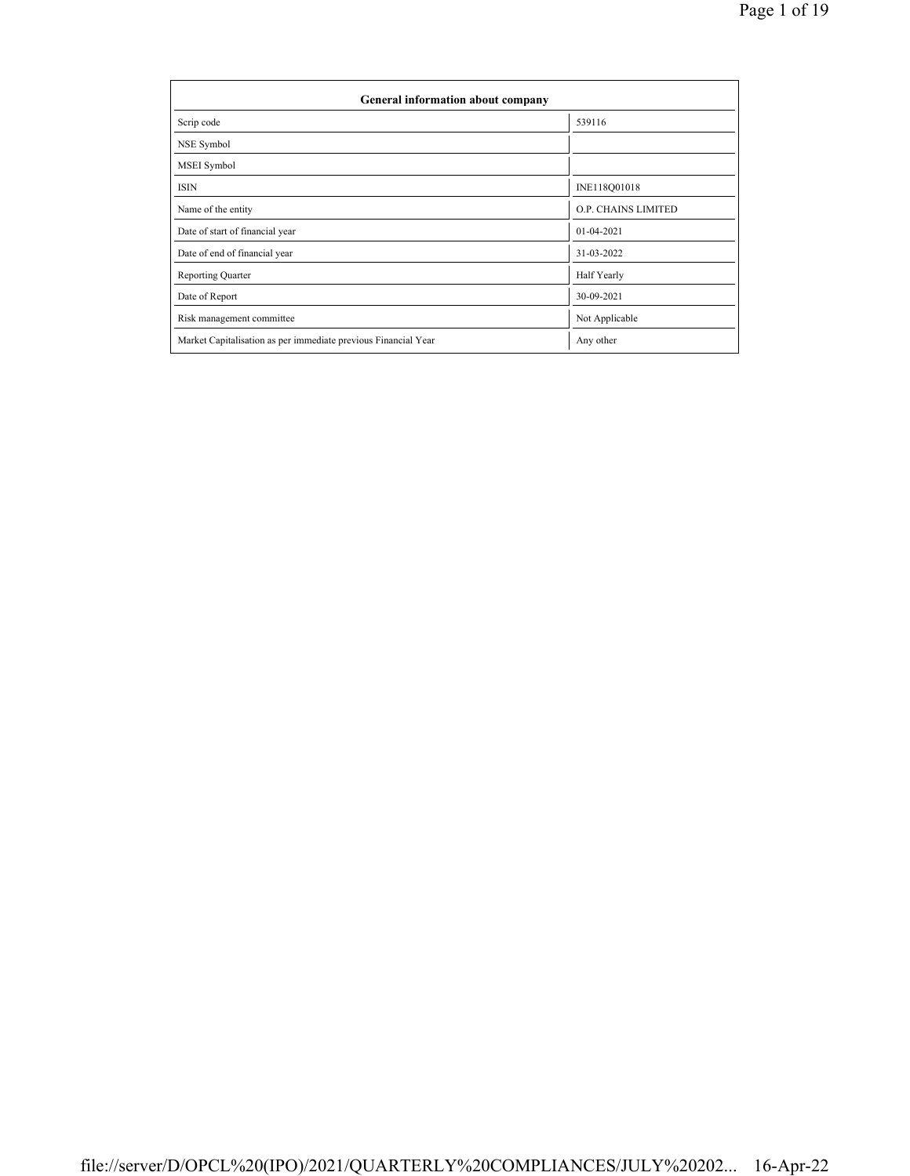| General information about company                              |                            |  |  |  |  |  |  |
|----------------------------------------------------------------|----------------------------|--|--|--|--|--|--|
| Scrip code                                                     | 539116                     |  |  |  |  |  |  |
| NSE Symbol                                                     |                            |  |  |  |  |  |  |
| MSEI Symbol                                                    |                            |  |  |  |  |  |  |
| <b>ISIN</b>                                                    | INE118Q01018               |  |  |  |  |  |  |
| Name of the entity                                             | <b>O.P. CHAINS LIMITED</b> |  |  |  |  |  |  |
| Date of start of financial year                                | 01-04-2021                 |  |  |  |  |  |  |
| Date of end of financial year                                  | 31-03-2022                 |  |  |  |  |  |  |
| <b>Reporting Quarter</b>                                       | Half Yearly                |  |  |  |  |  |  |
| Date of Report                                                 | 30-09-2021                 |  |  |  |  |  |  |
| Risk management committee                                      | Not Applicable             |  |  |  |  |  |  |
| Market Capitalisation as per immediate previous Financial Year | Any other                  |  |  |  |  |  |  |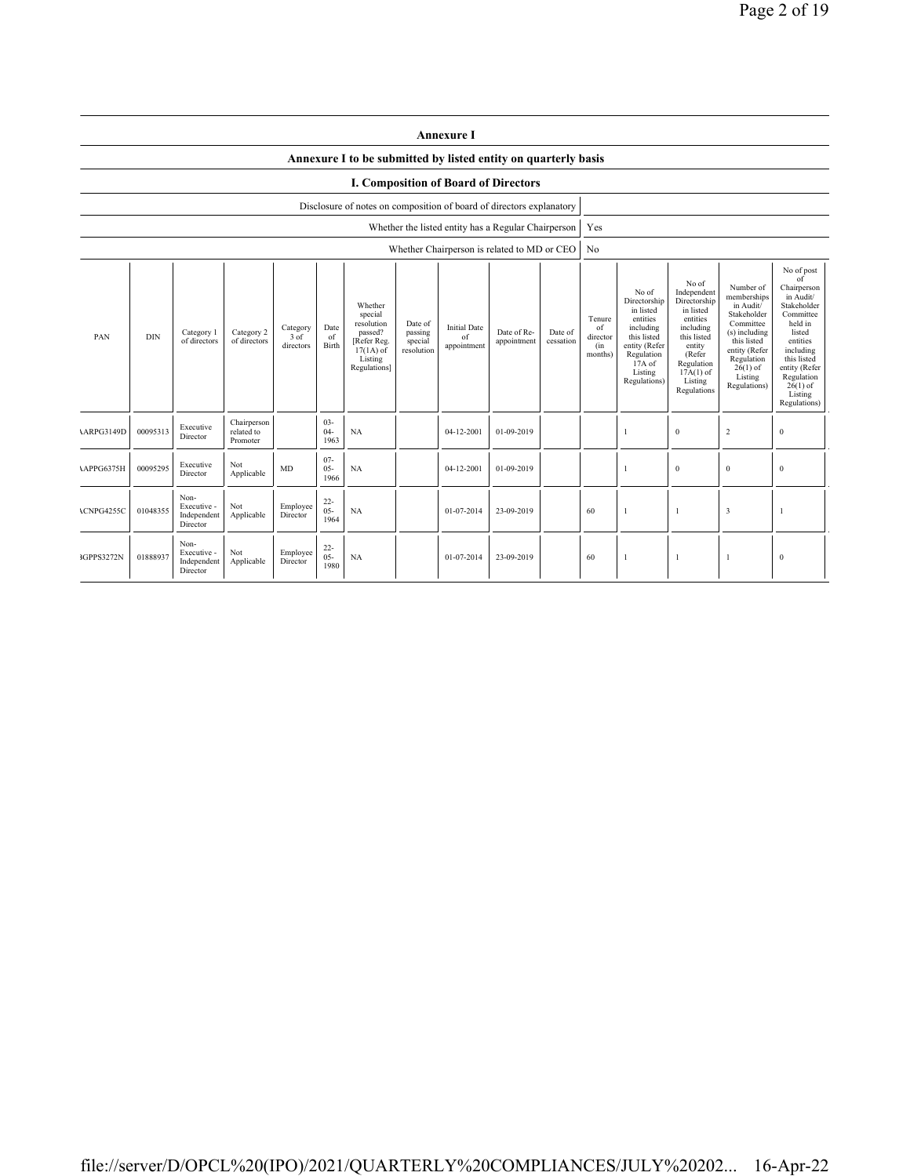|                                                                                                                                                                                                                                                                                                                                                                                                  | <b>Annexure I</b>                                                    |                                                |                                       |                      |                                            |                                                                                                                                                |                                                                                                                                                                      |                                                                                                                                                                           |                                                                                                                                                                                                               |  |                |   |              |                         |              |
|--------------------------------------------------------------------------------------------------------------------------------------------------------------------------------------------------------------------------------------------------------------------------------------------------------------------------------------------------------------------------------------------------|----------------------------------------------------------------------|------------------------------------------------|---------------------------------------|----------------------|--------------------------------------------|------------------------------------------------------------------------------------------------------------------------------------------------|----------------------------------------------------------------------------------------------------------------------------------------------------------------------|---------------------------------------------------------------------------------------------------------------------------------------------------------------------------|---------------------------------------------------------------------------------------------------------------------------------------------------------------------------------------------------------------|--|----------------|---|--------------|-------------------------|--------------|
|                                                                                                                                                                                                                                                                                                                                                                                                  |                                                                      |                                                |                                       |                      |                                            | Annexure I to be submitted by listed entity on quarterly basis                                                                                 |                                                                                                                                                                      |                                                                                                                                                                           |                                                                                                                                                                                                               |  |                |   |              |                         |              |
| <b>I. Composition of Board of Directors</b>                                                                                                                                                                                                                                                                                                                                                      |                                                                      |                                                |                                       |                      |                                            |                                                                                                                                                |                                                                                                                                                                      |                                                                                                                                                                           |                                                                                                                                                                                                               |  |                |   |              |                         |              |
|                                                                                                                                                                                                                                                                                                                                                                                                  | Disclosure of notes on composition of board of directors explanatory |                                                |                                       |                      |                                            |                                                                                                                                                |                                                                                                                                                                      |                                                                                                                                                                           |                                                                                                                                                                                                               |  |                |   |              |                         |              |
|                                                                                                                                                                                                                                                                                                                                                                                                  |                                                                      |                                                |                                       |                      |                                            |                                                                                                                                                |                                                                                                                                                                      |                                                                                                                                                                           | Whether the listed entity has a Regular Chairperson                                                                                                                                                           |  | Yes            |   |              |                         |              |
|                                                                                                                                                                                                                                                                                                                                                                                                  |                                                                      |                                                |                                       |                      |                                            |                                                                                                                                                |                                                                                                                                                                      |                                                                                                                                                                           | Whether Chairperson is related to MD or CEO                                                                                                                                                                   |  | N <sub>0</sub> |   |              |                         |              |
| Whether<br>special<br>resolution<br>Date of<br><b>Initial Date</b><br>Date<br>Category<br>Date of Re-<br>Category 2<br>passed?<br>passing<br>Date of<br>Category 1<br><b>DIN</b><br>PAN<br>$3$ of<br>of<br>of<br>of directors<br>of directors<br>[Refer Reg.<br>appointment<br>cessation<br>special<br>directors<br>Birth<br>appointment<br>resolution<br>$17(1A)$ of<br>Listing<br>Regulations] |                                                                      |                                                |                                       |                      | Tenure<br>of<br>director<br>(in<br>months) | No of<br>Directorship<br>in listed<br>entities<br>including<br>this listed<br>entity (Refer<br>Regulation<br>17A of<br>Listing<br>Regulations) | No of<br>Independent<br>Directorship<br>in listed<br>entities<br>including<br>this listed<br>entity<br>(Refer<br>Regulation<br>$17A(1)$ of<br>Listing<br>Regulations | Number of<br>memberships<br>in Audit/<br>Stakeholder<br>Committee<br>(s) including<br>this listed<br>entity (Refer<br>Regulation<br>$26(1)$ of<br>Listing<br>Regulations) | No of post<br>of<br>Chairperson<br>in Audit/<br>Stakeholder<br>Committee<br>held in<br>listed<br>entities<br>including<br>this listed<br>entity (Refer<br>Regulation<br>$26(1)$ of<br>Listing<br>Regulations) |  |                |   |              |                         |              |
| <b>ARPG3149D</b>                                                                                                                                                                                                                                                                                                                                                                                 | 00095313                                                             | Executive<br>Director                          | Chairperson<br>related to<br>Promoter |                      | $03 -$<br>$04 -$<br>1963                   | NA                                                                                                                                             |                                                                                                                                                                      | 04-12-2001                                                                                                                                                                | 01-09-2019                                                                                                                                                                                                    |  |                |   | $\mathbf{0}$ | $\overline{2}$          | $\bf{0}$     |
| APPG6375H                                                                                                                                                                                                                                                                                                                                                                                        | 00095295                                                             | Executive<br>Director                          | Not<br>Applicable                     | <b>MD</b>            | $07 -$<br>$05 -$<br>1966                   | NA                                                                                                                                             |                                                                                                                                                                      | 04-12-2001                                                                                                                                                                | 01-09-2019                                                                                                                                                                                                    |  |                | 1 | $\mathbf{0}$ | $\mathbf{0}$            | $\mathbf{0}$ |
| ACNPG4255C                                                                                                                                                                                                                                                                                                                                                                                       | 01048355                                                             | Non-<br>Executive -<br>Independent<br>Director | Not<br>Applicable                     | Employee<br>Director | $22 -$<br>$05 -$<br>1964                   | <b>NA</b>                                                                                                                                      |                                                                                                                                                                      | 01-07-2014                                                                                                                                                                | 23-09-2019                                                                                                                                                                                                    |  | 60             | 1 | -1           | $\overline{\mathbf{3}}$ |              |
| 3GPPS3272N                                                                                                                                                                                                                                                                                                                                                                                       | 01888937                                                             | Non-<br>Executive -<br>Independent<br>Director | Not<br>Applicable                     | Employee<br>Director | $22 -$<br>$05 -$<br>1980                   | <b>NA</b>                                                                                                                                      |                                                                                                                                                                      | 01-07-2014                                                                                                                                                                | 23-09-2019                                                                                                                                                                                                    |  | 60             | 1 | -1           | $\mathbf{1}$            | $\bf{0}$     |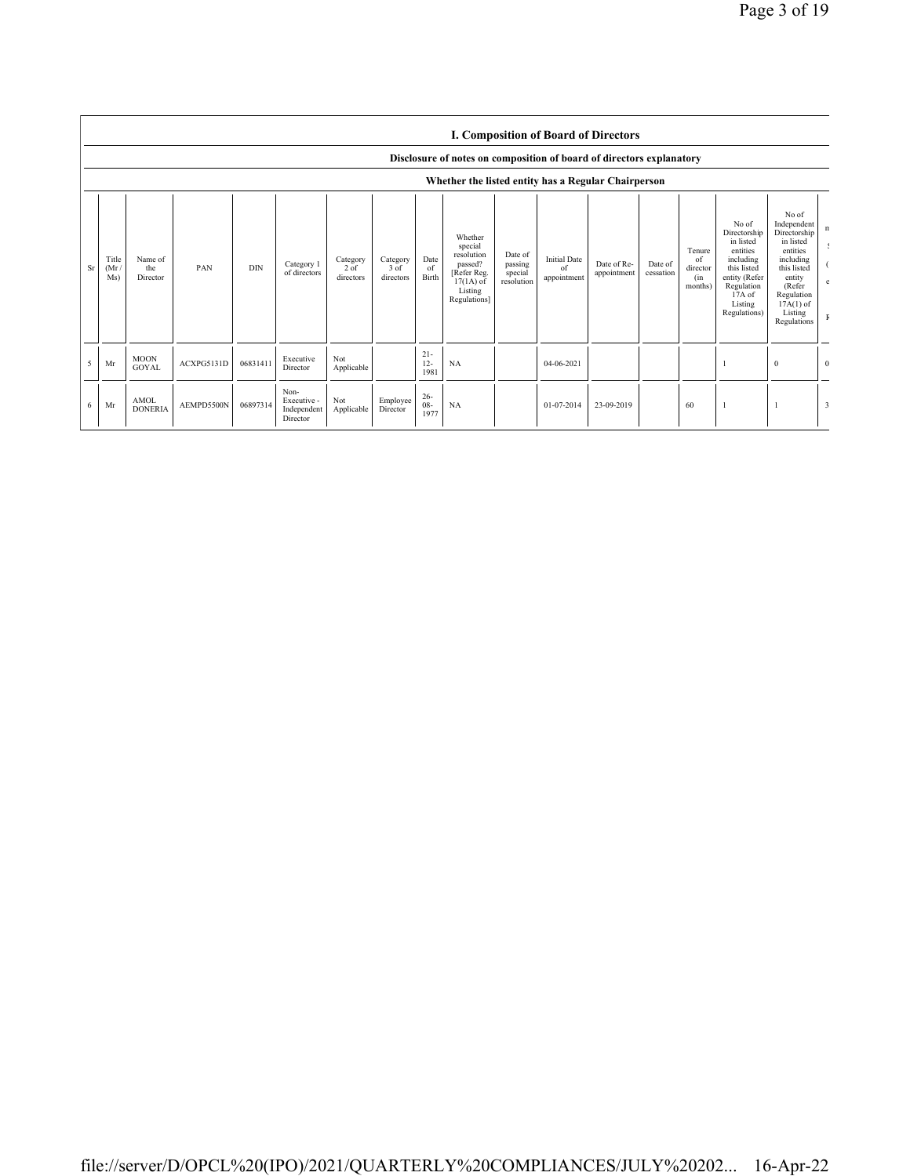|    | <b>I. Composition of Board of Directors</b><br>Disclosure of notes on composition of board of directors explanatory<br>Whether the listed entity has a Regular Chairperson |                               |            |            |                                                |                                 |                               |                          |                                                                                                      |                                             |                                          |                            |                      |                                            |                                                                                                                                                |                                                                                                                                                                      |                |
|----|----------------------------------------------------------------------------------------------------------------------------------------------------------------------------|-------------------------------|------------|------------|------------------------------------------------|---------------------------------|-------------------------------|--------------------------|------------------------------------------------------------------------------------------------------|---------------------------------------------|------------------------------------------|----------------------------|----------------------|--------------------------------------------|------------------------------------------------------------------------------------------------------------------------------------------------|----------------------------------------------------------------------------------------------------------------------------------------------------------------------|----------------|
| Sr | Title<br>(Mr)<br>Ms)                                                                                                                                                       | Name of<br>the<br>Director    | PAN        | <b>DIN</b> | Category 1<br>of directors                     | Category<br>$2$ of<br>directors | Category<br>3 of<br>directors | Date<br>of<br>Birth      | Whether<br>special<br>resolution<br>passed?<br>[Refer Reg.<br>$17(1A)$ of<br>Listing<br>Regulations] | Date of<br>passing<br>special<br>resolution | <b>Initial Date</b><br>of<br>appointment | Date of Re-<br>appointment | Date of<br>cessation | Tenure<br>of<br>director<br>(in<br>months) | No of<br>Directorship<br>in listed<br>entities<br>including<br>this listed<br>entity (Refer<br>Regulation<br>17A of<br>Listing<br>Regulations) | No of<br>Independent<br>Directorship<br>in listed<br>entities<br>including<br>this listed<br>entity<br>(Refer<br>Regulation<br>$17A(1)$ of<br>Listing<br>Regulations | n              |
| 5  | Mr                                                                                                                                                                         | <b>MOON</b><br><b>GOYAL</b>   | ACXPG5131D | 06831411   | Executive<br>Director                          | Not<br>Applicable               |                               | $21 -$<br>$12 -$<br>1981 | NA                                                                                                   |                                             | 04-06-2021                               |                            |                      |                                            |                                                                                                                                                | $\mathbf{0}$                                                                                                                                                         | $\overline{0}$ |
| 6  | Mr                                                                                                                                                                         | <b>AMOL</b><br><b>DONERIA</b> | AEMPD5500N | 06897314   | Non-<br>Executive -<br>Independent<br>Director | Not<br>Applicable               | Employee<br>Director          | $26 -$<br>$08 -$<br>1977 | NA                                                                                                   |                                             | 01-07-2014                               | 23-09-2019                 |                      | 60                                         |                                                                                                                                                |                                                                                                                                                                      | 3              |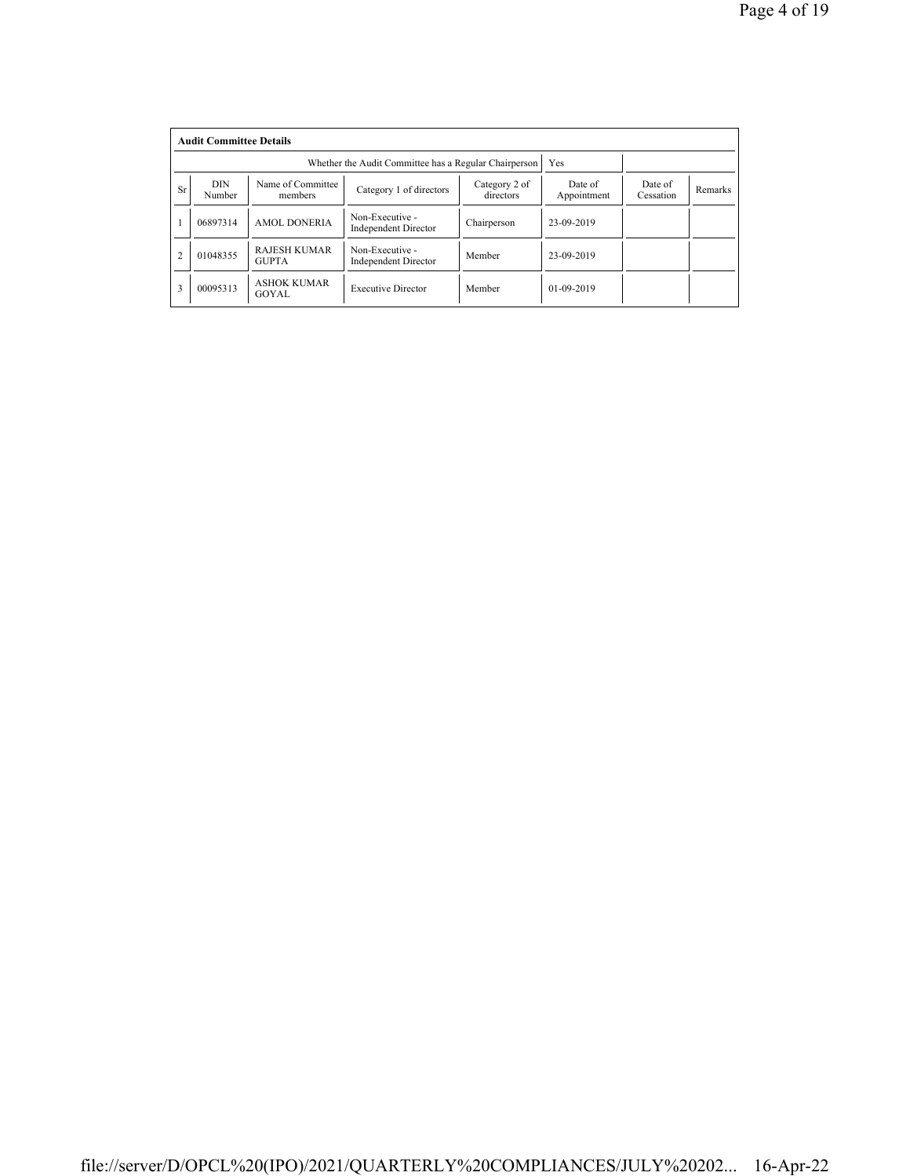|                | <b>Audit Committee Details</b> |                                     |                                                       |                        |                      |         |  |  |  |  |
|----------------|--------------------------------|-------------------------------------|-------------------------------------------------------|------------------------|----------------------|---------|--|--|--|--|
|                |                                |                                     | Whether the Audit Committee has a Regular Chairperson | Yes                    |                      |         |  |  |  |  |
| <b>Sr</b>      | <b>DIN</b><br>Number           | Name of Committee<br>members        | Category 2 of<br>directors                            | Date of<br>Appointment | Date of<br>Cessation | Remarks |  |  |  |  |
|                | 06897314                       | <b>AMOL DONERIA</b>                 | Non-Executive -<br><b>Independent Director</b>        | Chairperson            | 23-09-2019           |         |  |  |  |  |
| $\overline{2}$ | 01048355                       | <b>RAJESH KUMAR</b><br><b>GUPTA</b> | Non-Executive -<br><b>Independent Director</b>        | Member                 | 23-09-2019           |         |  |  |  |  |
| 3              | 00095313                       | <b>ASHOK KUMAR</b><br>GOYAL         | <b>Executive Director</b>                             | Member                 | $01 - 09 - 2019$     |         |  |  |  |  |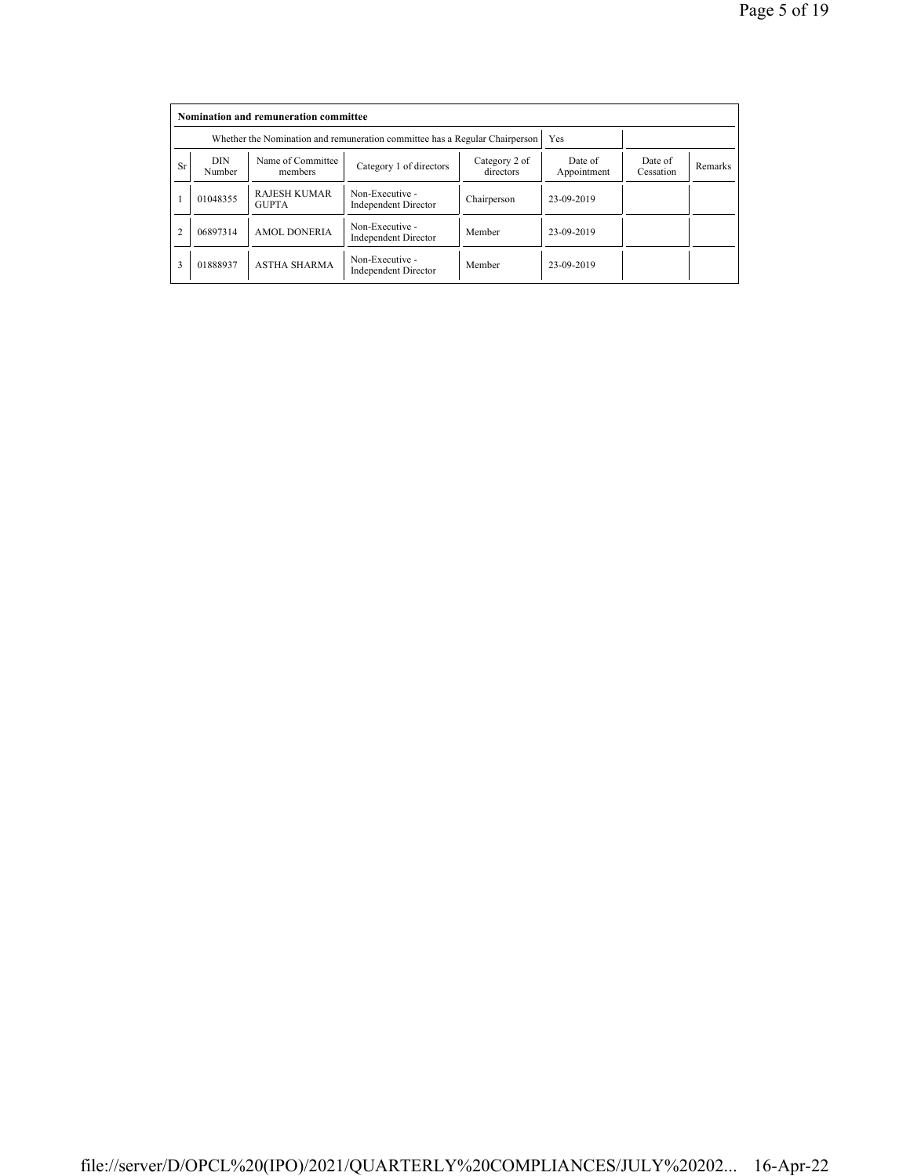|                | Nomination and remuneration committee |                                                                             |                                                |                            |                        |                      |         |  |  |  |
|----------------|---------------------------------------|-----------------------------------------------------------------------------|------------------------------------------------|----------------------------|------------------------|----------------------|---------|--|--|--|
|                |                                       | Whether the Nomination and remuneration committee has a Regular Chairperson |                                                | Yes                        |                        |                      |         |  |  |  |
| <b>Sr</b>      | DIN<br>Number                         | Name of Committee<br>members                                                | Category 1 of directors                        | Category 2 of<br>directors | Date of<br>Appointment | Date of<br>Cessation | Remarks |  |  |  |
|                | 01048355                              | <b>RAJESH KUMAR</b><br><b>GUPTA</b>                                         | Non-Executive -<br><b>Independent Director</b> | Chairperson                | 23-09-2019             |                      |         |  |  |  |
| $\overline{2}$ | 06897314                              | <b>AMOL DONERIA</b>                                                         | Non-Executive -<br><b>Independent Director</b> | Member                     | 23-09-2019             |                      |         |  |  |  |
| 3              | 01888937                              | <b>ASTHA SHARMA</b>                                                         | Non-Executive -<br><b>Independent Director</b> | Member                     | 23-09-2019             |                      |         |  |  |  |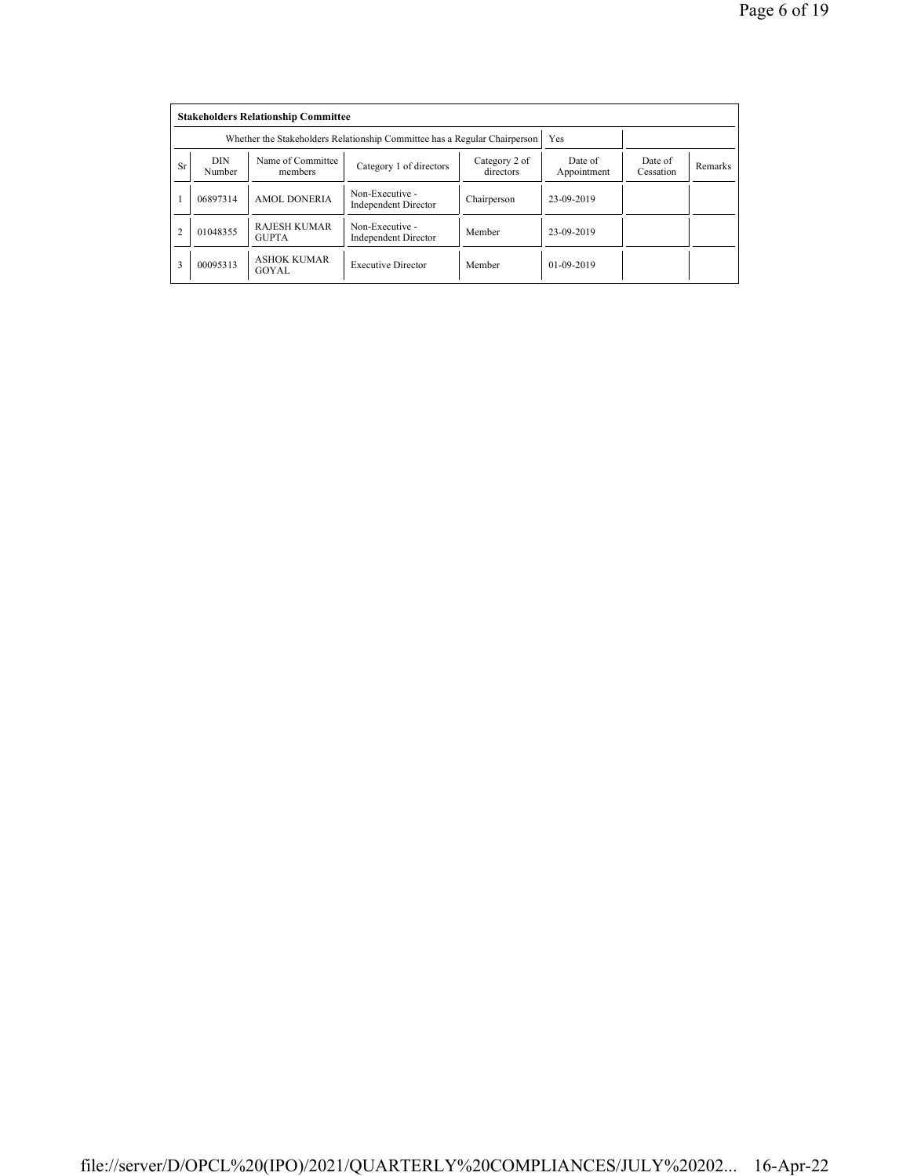|                | <b>Stakeholders Relationship Committee</b> |                                                                           |                                                |                      |              |  |  |  |  |  |
|----------------|--------------------------------------------|---------------------------------------------------------------------------|------------------------------------------------|----------------------|--------------|--|--|--|--|--|
|                |                                            | Whether the Stakeholders Relationship Committee has a Regular Chairperson |                                                | Yes                  |              |  |  |  |  |  |
| <b>Sr</b>      | <b>DIN</b><br>Number                       | Name of Committee<br>members                                              | Date of<br>Appointment                         | Date of<br>Cessation | Remarks      |  |  |  |  |  |
|                | 06897314                                   | <b>AMOL DONERIA</b>                                                       | Non-Executive -<br><b>Independent Director</b> | Chairperson          | 23-09-2019   |  |  |  |  |  |
| $\overline{2}$ | 01048355                                   | <b>RAJESH KUMAR</b><br><b>GUPTA</b>                                       | Non-Executive -<br><b>Independent Director</b> | Member               | 23-09-2019   |  |  |  |  |  |
| 3              | 00095313                                   | <b>ASHOK KUMAR</b><br>GOYAL                                               | <b>Executive Director</b>                      | Member               | $01-09-2019$ |  |  |  |  |  |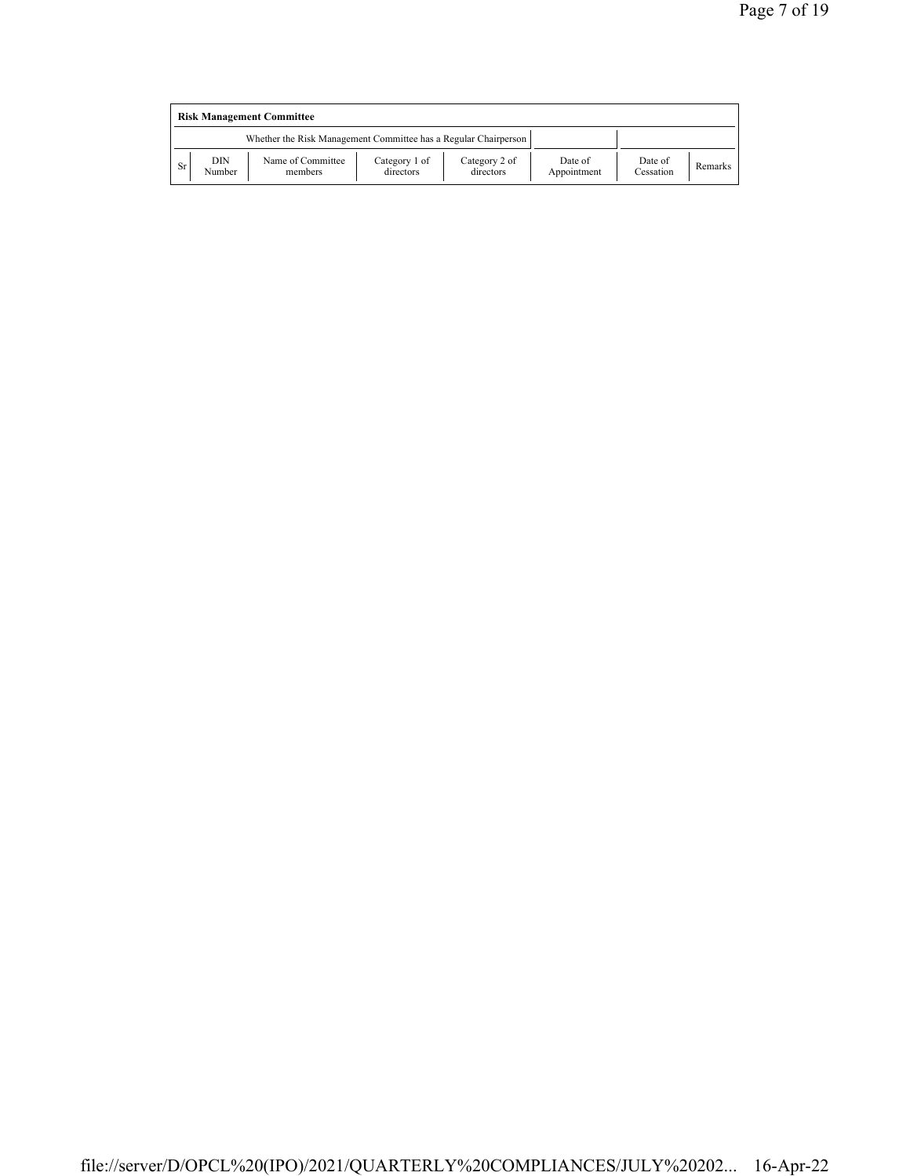|    | <b>Risk Management Committee</b> |                                                                 |                            |                            |                        |                      |         |  |  |  |
|----|----------------------------------|-----------------------------------------------------------------|----------------------------|----------------------------|------------------------|----------------------|---------|--|--|--|
|    |                                  | Whether the Risk Management Committee has a Regular Chairperson |                            |                            |                        |                      |         |  |  |  |
| Sr | DIN<br>Number                    | Name of Committee<br>members                                    | Category 1 of<br>directors | Category 2 of<br>directors | Date of<br>Appointment | Date of<br>Cessation | Remarks |  |  |  |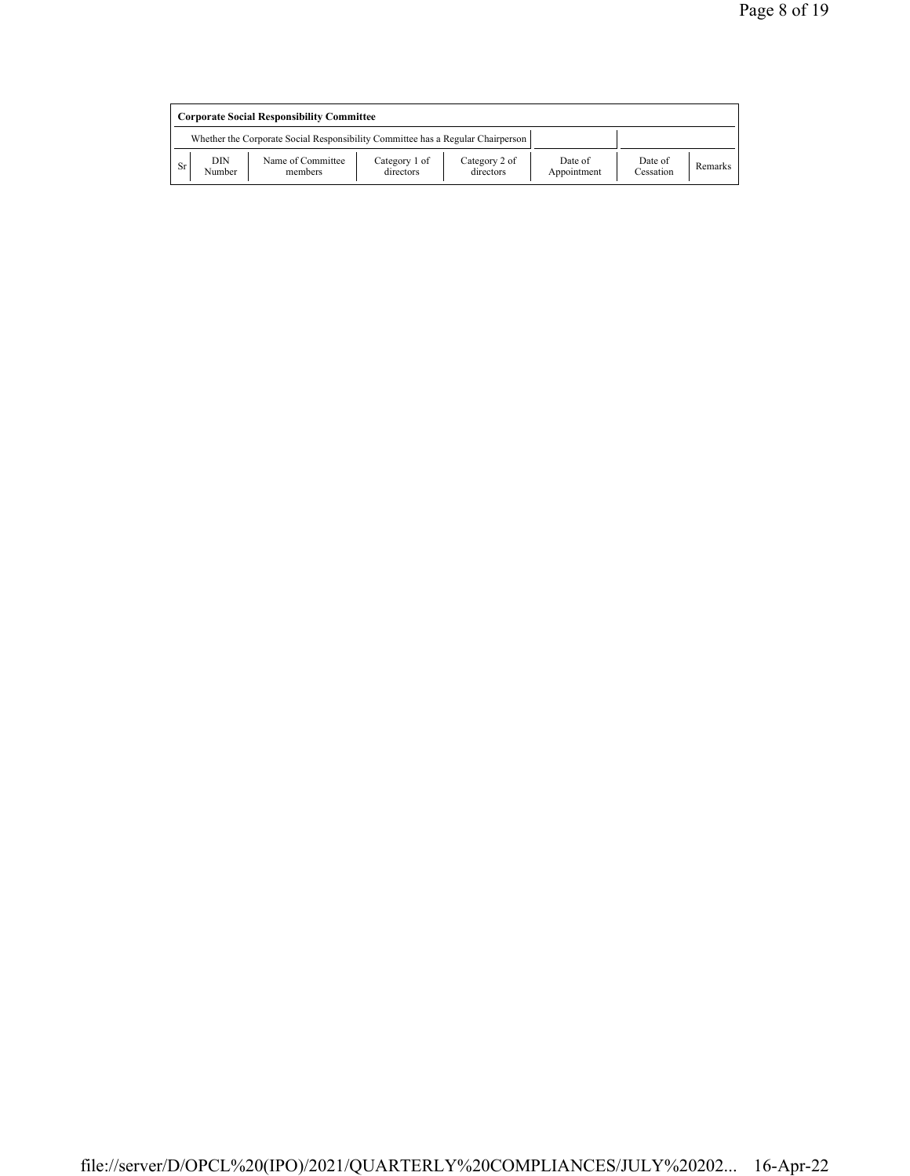|           | <b>Corporate Social Responsibility Committee</b> |                                                                                 |                            |                            |                        |                      |                |  |  |
|-----------|--------------------------------------------------|---------------------------------------------------------------------------------|----------------------------|----------------------------|------------------------|----------------------|----------------|--|--|
|           |                                                  | Whether the Corporate Social Responsibility Committee has a Regular Chairperson |                            |                            |                        |                      |                |  |  |
| <b>Sr</b> | DIN<br>Number                                    | Name of Committee<br>members                                                    | Category 1 of<br>directors | Category 2 of<br>directors | Date of<br>Appointment | Date of<br>Cessation | <b>Remarks</b> |  |  |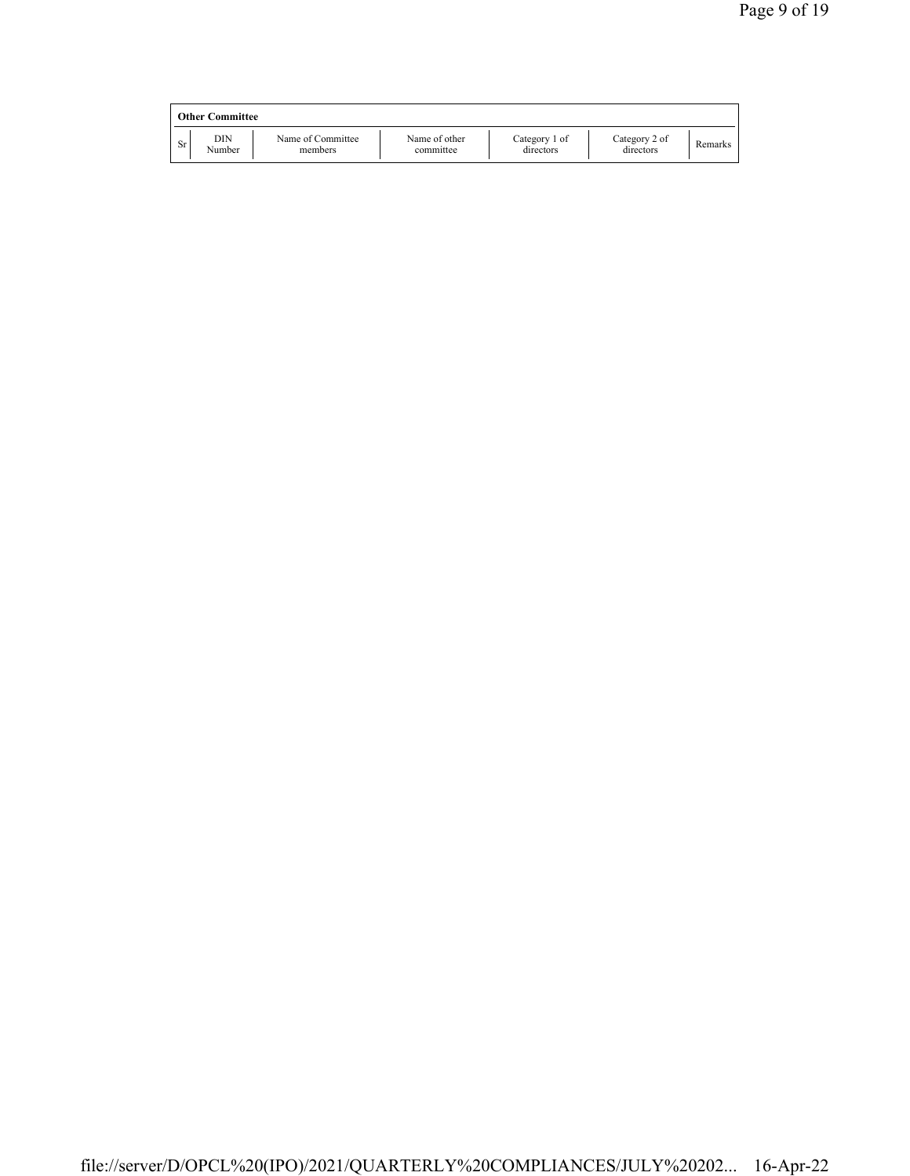|     | <b>Other Committee</b> |                              |                            |                            |                            |         |
|-----|------------------------|------------------------------|----------------------------|----------------------------|----------------------------|---------|
| Sr. | DIN<br>Number          | Name of Committee<br>members | Name of other<br>committee | Category 1 of<br>directors | Category 2 of<br>directors | Remarks |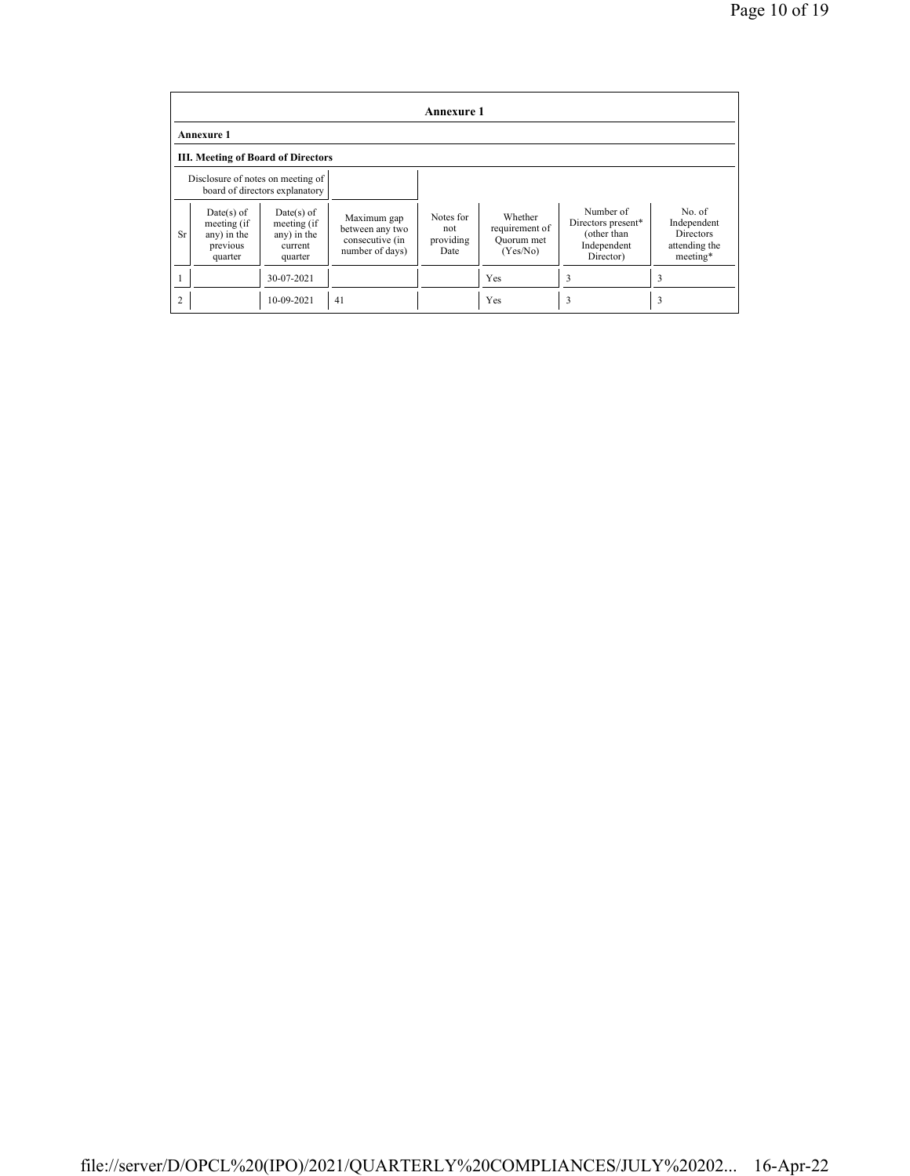|                | <b>Annexure 1</b>                                                 |                                                                  |                                                                      |                                       |                                                     |                                                                            |                                                                |  |  |
|----------------|-------------------------------------------------------------------|------------------------------------------------------------------|----------------------------------------------------------------------|---------------------------------------|-----------------------------------------------------|----------------------------------------------------------------------------|----------------------------------------------------------------|--|--|
|                | <b>Annexure 1</b>                                                 |                                                                  |                                                                      |                                       |                                                     |                                                                            |                                                                |  |  |
|                | <b>III. Meeting of Board of Directors</b>                         |                                                                  |                                                                      |                                       |                                                     |                                                                            |                                                                |  |  |
|                | Disclosure of notes on meeting of                                 | board of directors explanatory                                   |                                                                      |                                       |                                                     |                                                                            |                                                                |  |  |
| <b>Sr</b>      | $Date(s)$ of<br>meeting (if<br>any) in the<br>previous<br>quarter | $Date(s)$ of<br>meeting (if<br>any) in the<br>current<br>quarter | Maximum gap<br>between any two<br>consecutive (in<br>number of days) | Notes for<br>not<br>providing<br>Date | Whether<br>requirement of<br>Quorum met<br>(Yes/No) | Number of<br>Directors present*<br>(other than<br>Independent<br>Director) | No of<br>Independent<br>Directors<br>attending the<br>meeting* |  |  |
|                |                                                                   | 30-07-2021                                                       |                                                                      |                                       | Yes                                                 | 3                                                                          | 3                                                              |  |  |
| $\overline{2}$ |                                                                   | 10-09-2021                                                       | 41                                                                   |                                       | Yes                                                 | 3                                                                          | 3                                                              |  |  |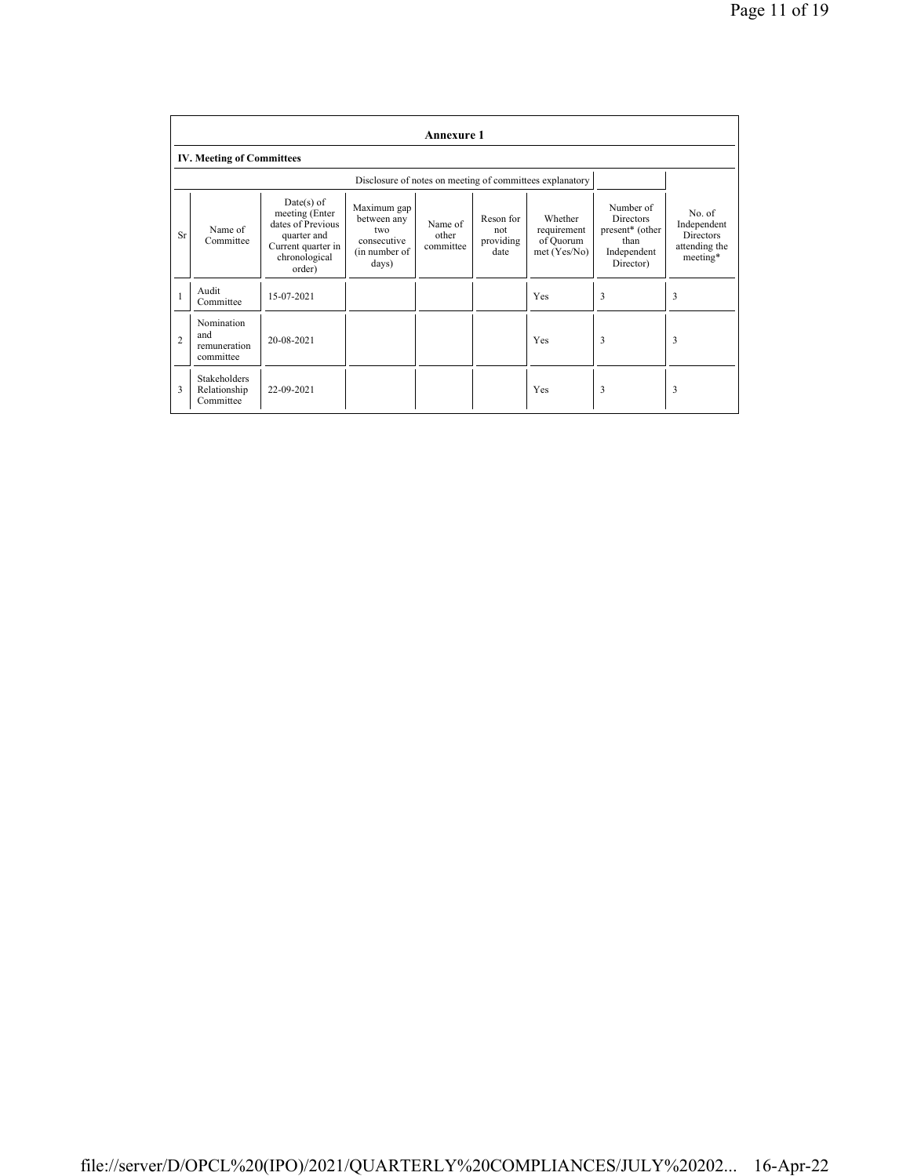|                | <b>Annexure 1</b>                                |                                                                                                                     |                                                                             |                               |                                       |                                                          |                                                                                                  |                                                                        |
|----------------|--------------------------------------------------|---------------------------------------------------------------------------------------------------------------------|-----------------------------------------------------------------------------|-------------------------------|---------------------------------------|----------------------------------------------------------|--------------------------------------------------------------------------------------------------|------------------------------------------------------------------------|
|                | <b>IV. Meeting of Committees</b>                 |                                                                                                                     |                                                                             |                               |                                       |                                                          |                                                                                                  |                                                                        |
|                |                                                  |                                                                                                                     |                                                                             |                               |                                       | Disclosure of notes on meeting of committees explanatory |                                                                                                  |                                                                        |
| Sr             | Name of<br>Committee                             | $Date(s)$ of<br>meeting (Enter<br>dates of Previous<br>quarter and<br>Current quarter in<br>chronological<br>order) | Maximum gap<br>between any<br>two.<br>consecutive<br>(in number of<br>days) | Name of<br>other<br>committee | Reson for<br>not<br>providing<br>date | Whether<br>requirement<br>of Quorum<br>met(Yes/No)       | Number of<br><b>Directors</b><br>present <sup>*</sup> (other<br>than<br>Independent<br>Director) | No. of<br>Independent<br><b>Directors</b><br>attending the<br>meeting* |
| $\mathbf{1}$   | Audit<br>Committee                               | 15-07-2021                                                                                                          |                                                                             |                               |                                       | Yes                                                      | 3                                                                                                | 3                                                                      |
| $\overline{c}$ | Nomination<br>and<br>remuneration<br>committee   | 20-08-2021                                                                                                          |                                                                             |                               |                                       | Yes                                                      | 3                                                                                                | 3                                                                      |
| 3              | <b>Stakeholders</b><br>Relationship<br>Committee | 22-09-2021                                                                                                          |                                                                             |                               |                                       | Yes                                                      | 3                                                                                                | 3                                                                      |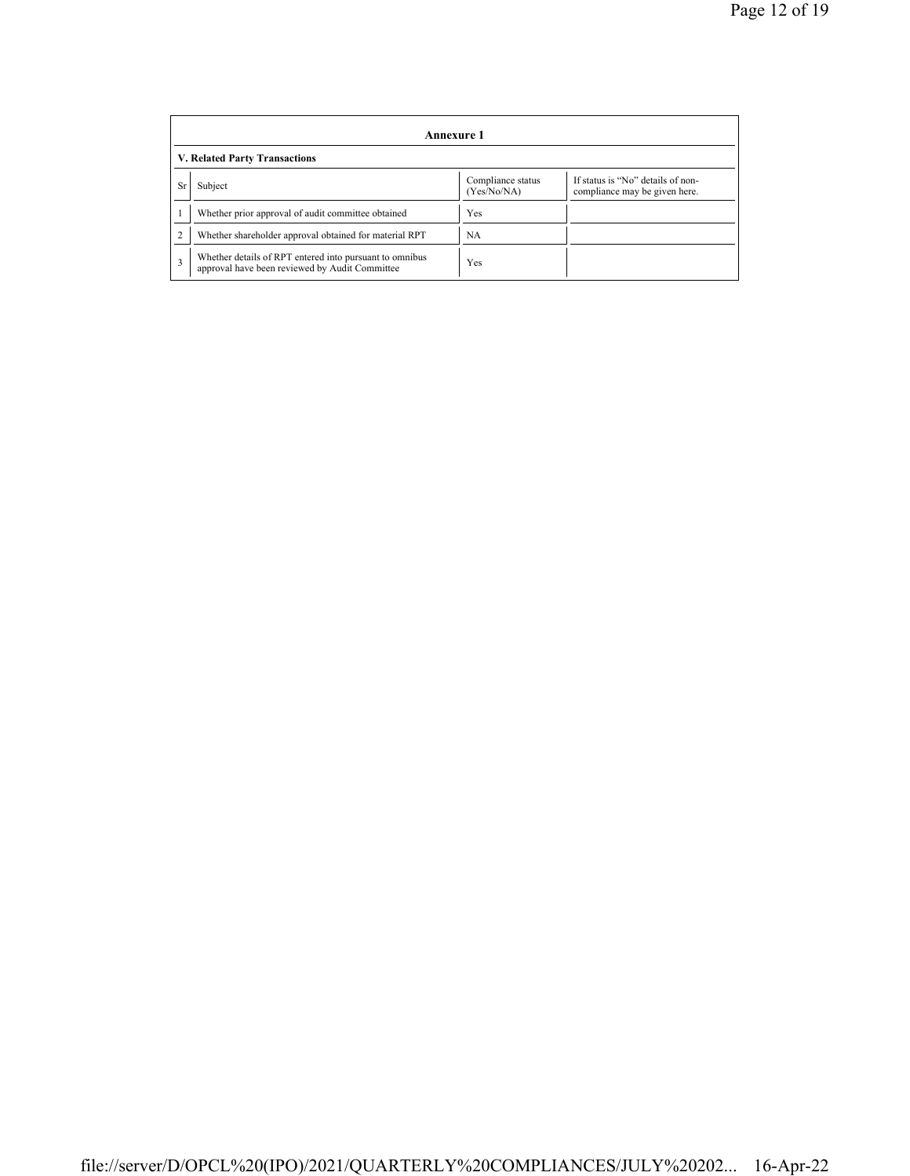|           | Annexure 1                                                                                                |                                  |                                                                    |  |  |  |  |  |
|-----------|-----------------------------------------------------------------------------------------------------------|----------------------------------|--------------------------------------------------------------------|--|--|--|--|--|
|           | V. Related Party Transactions                                                                             |                                  |                                                                    |  |  |  |  |  |
| <b>Sr</b> | Subject                                                                                                   | Compliance status<br>(Yes/No/NA) | If status is "No" details of non-<br>compliance may be given here. |  |  |  |  |  |
|           | Whether prior approval of audit committee obtained                                                        | Yes                              |                                                                    |  |  |  |  |  |
|           | Whether shareholder approval obtained for material RPT                                                    | NA                               |                                                                    |  |  |  |  |  |
| 3         | Whether details of RPT entered into pursuant to omnibus<br>approval have been reviewed by Audit Committee | Yes                              |                                                                    |  |  |  |  |  |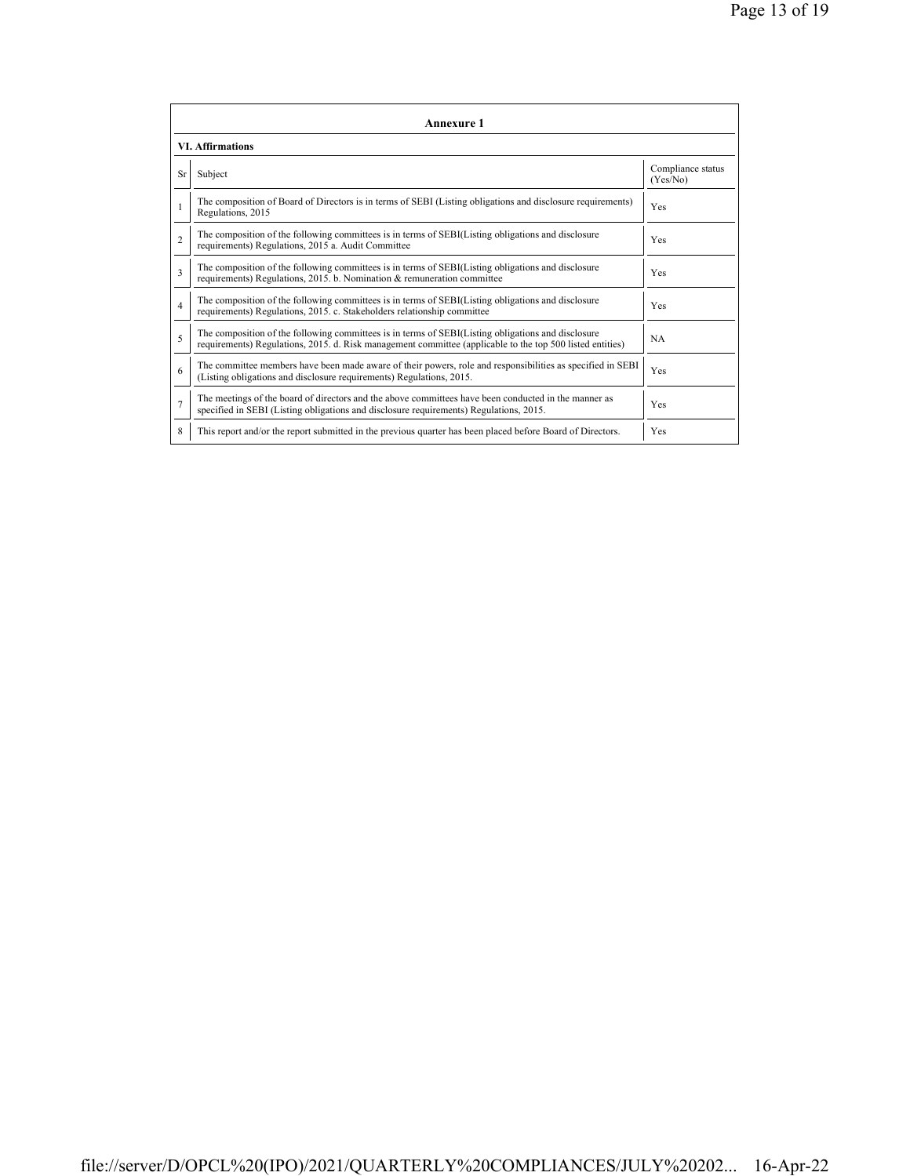|                | Annexure 1                                                                                                                                                                                                      |                               |  |  |
|----------------|-----------------------------------------------------------------------------------------------------------------------------------------------------------------------------------------------------------------|-------------------------------|--|--|
|                | <b>VI. Affirmations</b>                                                                                                                                                                                         |                               |  |  |
| Sr             | Subject                                                                                                                                                                                                         | Compliance status<br>(Yes/No) |  |  |
|                | The composition of Board of Directors is in terms of SEBI (Listing obligations and disclosure requirements)<br>Regulations, 2015                                                                                | Yes                           |  |  |
| $\mathfrak{D}$ | The composition of the following committees is in terms of SEBI(Listing obligations and disclosure<br>requirements) Regulations, 2015 a. Audit Committee                                                        | <b>Yes</b>                    |  |  |
| 3              | The composition of the following committees is in terms of SEBI(Listing obligations and disclosure<br>requirements) Regulations, 2015. b. Nomination & remuneration committee                                   | <b>Yes</b>                    |  |  |
| $\overline{4}$ | The composition of the following committees is in terms of SEBI(Listing obligations and disclosure<br>requirements) Regulations, 2015. c. Stakeholders relationship committee                                   | Yes                           |  |  |
| 5              | The composition of the following committees is in terms of SEBI(Listing obligations and disclosure<br>requirements) Regulations, 2015. d. Risk management committee (applicable to the top 500 listed entities) | <b>NA</b>                     |  |  |
| 6              | The committee members have been made aware of their powers, role and responsibilities as specified in SEBI<br>(Listing obligations and disclosure requirements) Regulations, 2015.                              | Yes                           |  |  |
| $\overline{7}$ | The meetings of the board of directors and the above committees have been conducted in the manner as<br>specified in SEBI (Listing obligations and disclosure requirements) Regulations, 2015.                  | Yes                           |  |  |
| 8              | This report and/or the report submitted in the previous quarter has been placed before Board of Directors.                                                                                                      | Yes                           |  |  |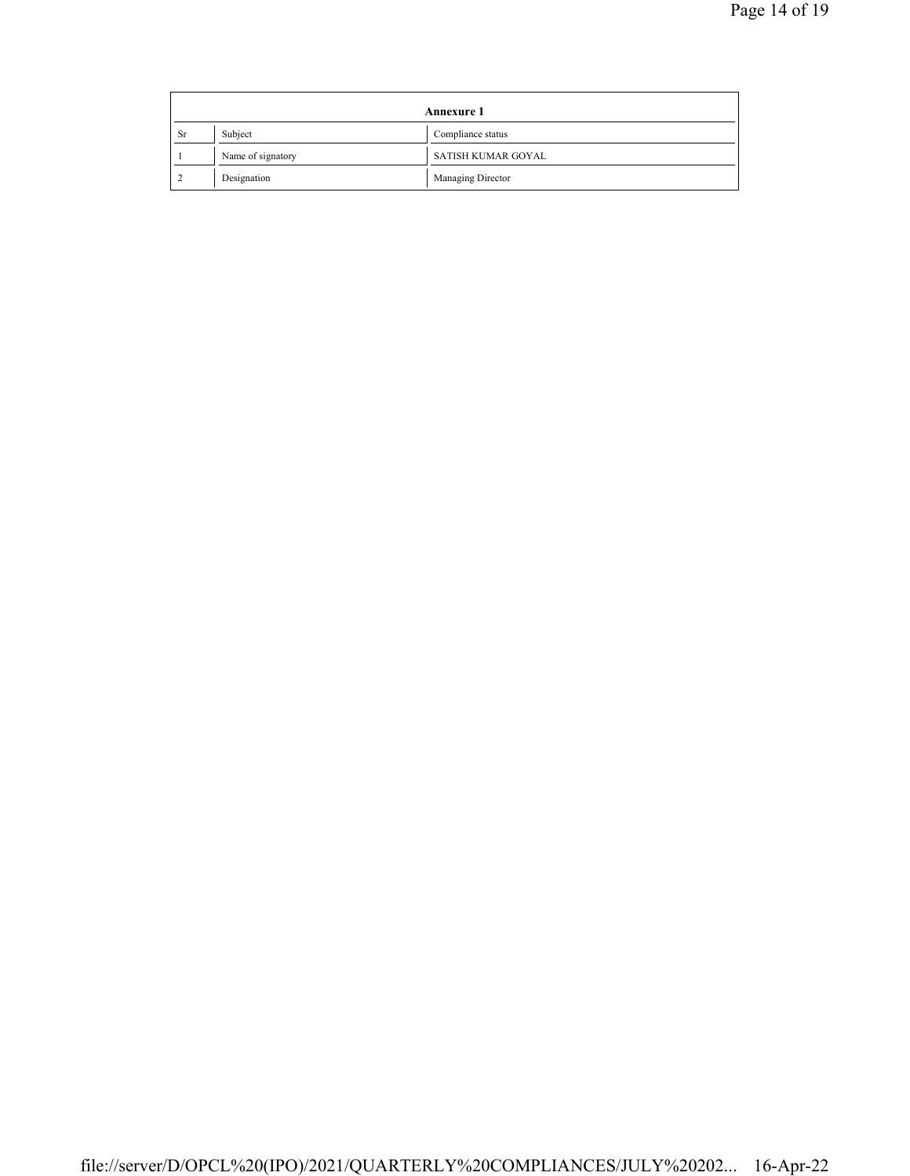|           | <b>Annexure 1</b> |                    |  |
|-----------|-------------------|--------------------|--|
| <b>Sr</b> | Subject           | Compliance status  |  |
|           | Name of signatory | SATISH KUMAR GOYAL |  |
|           | Designation       | Managing Director  |  |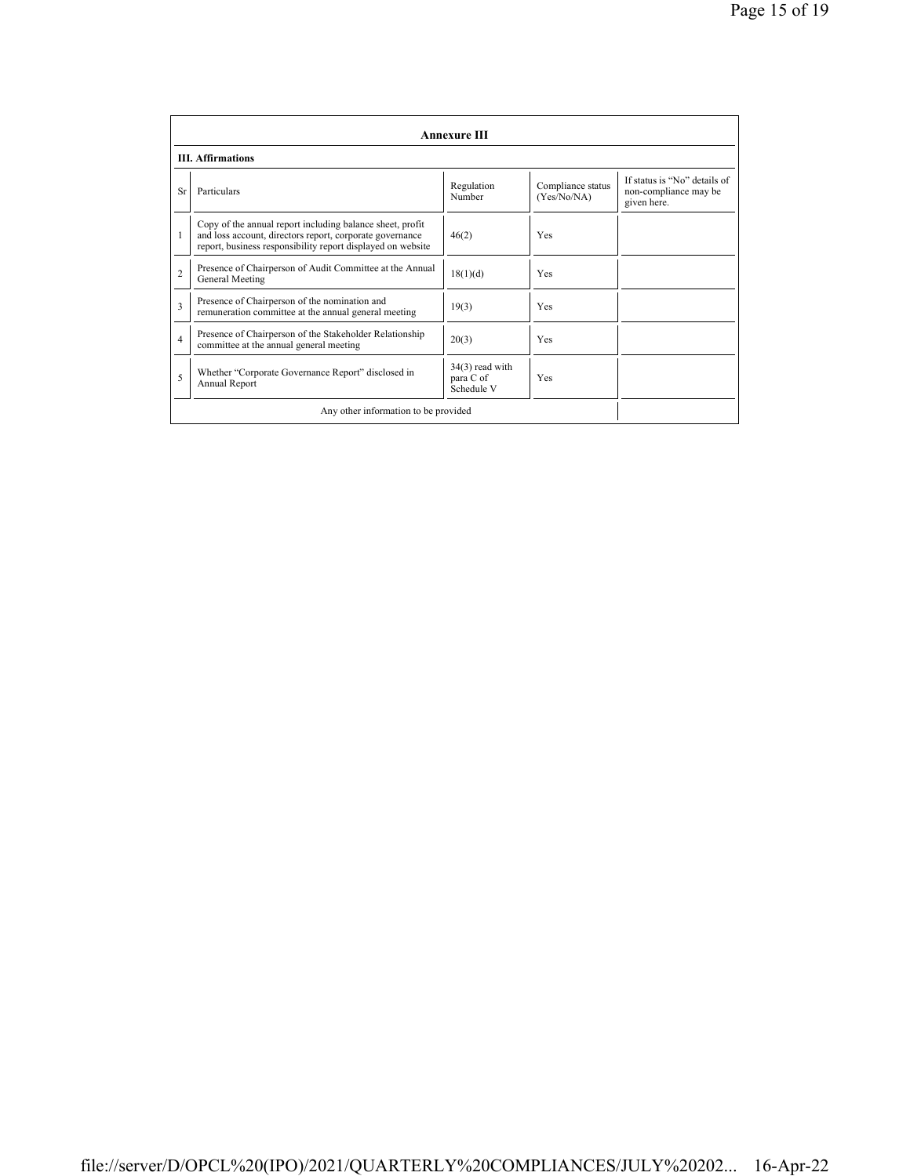|                | <b>Annexure III</b>                                                                                                                                                                  |                                              |                                  |                                                                      |  |
|----------------|--------------------------------------------------------------------------------------------------------------------------------------------------------------------------------------|----------------------------------------------|----------------------------------|----------------------------------------------------------------------|--|
|                | <b>III.</b> Affirmations                                                                                                                                                             |                                              |                                  |                                                                      |  |
| Sr             | Particulars                                                                                                                                                                          | Regulation<br>Number                         | Compliance status<br>(Yes/No/NA) | If status is "No" details of<br>non-compliance may be<br>given here. |  |
|                | Copy of the annual report including balance sheet, profit<br>and loss account, directors report, corporate governance<br>report, business responsibility report displayed on website | 46(2)                                        | Yes                              |                                                                      |  |
| $\overline{c}$ | Presence of Chairperson of Audit Committee at the Annual<br>General Meeting                                                                                                          | 18(1)(d)                                     | Yes                              |                                                                      |  |
| $\mathbf{3}$   | Presence of Chairperson of the nomination and<br>remuneration committee at the annual general meeting                                                                                | 19(3)                                        | Yes                              |                                                                      |  |
| 4              | Presence of Chairperson of the Stakeholder Relationship<br>committee at the annual general meeting                                                                                   | 20(3)                                        | Yes                              |                                                                      |  |
| 5              | Whether "Corporate Governance Report" disclosed in<br>Annual Report                                                                                                                  | $34(3)$ read with<br>para C of<br>Schedule V | Yes                              |                                                                      |  |
|                | Any other information to be provided                                                                                                                                                 |                                              |                                  |                                                                      |  |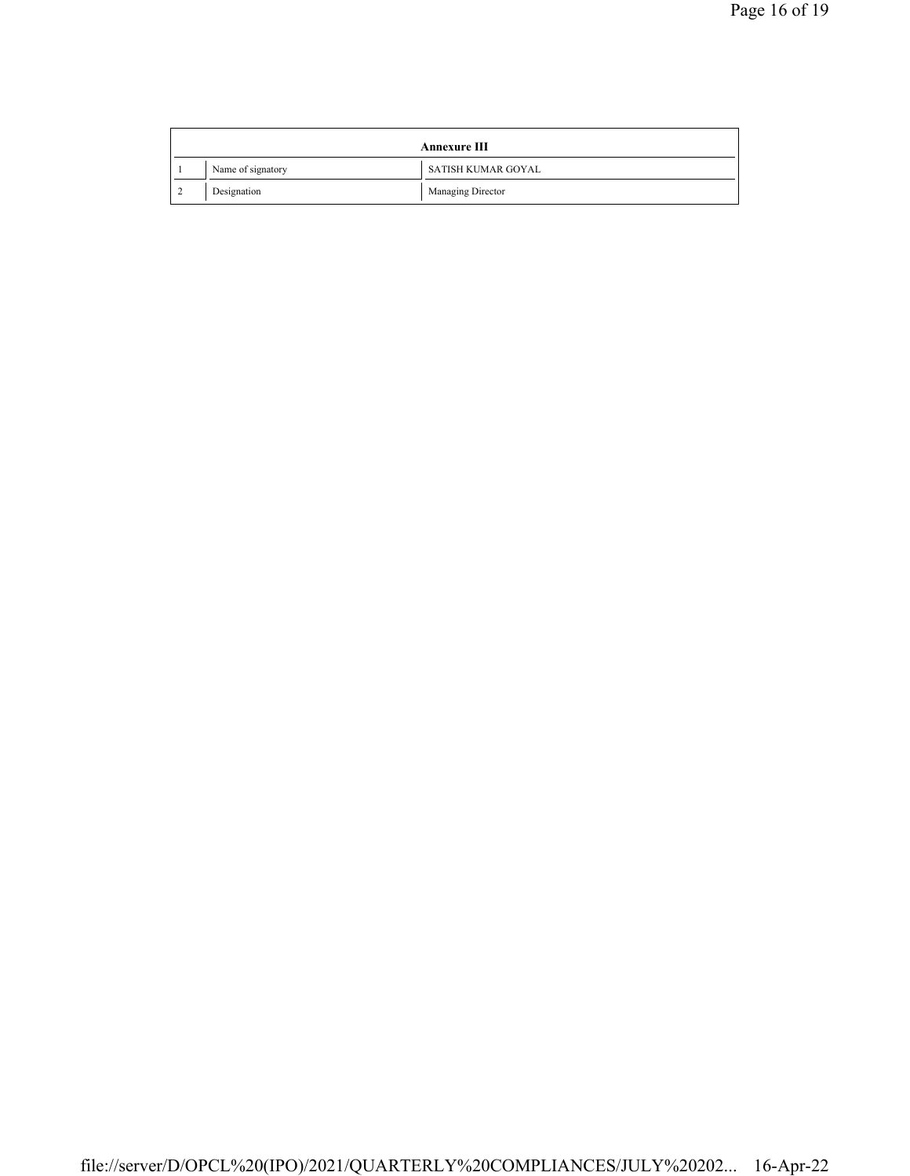| Annexure III |  |                   |                    |
|--------------|--|-------------------|--------------------|
|              |  | Name of signatory | SATISH KUMAR GOYAL |
|              |  | Designation       | Managing Director  |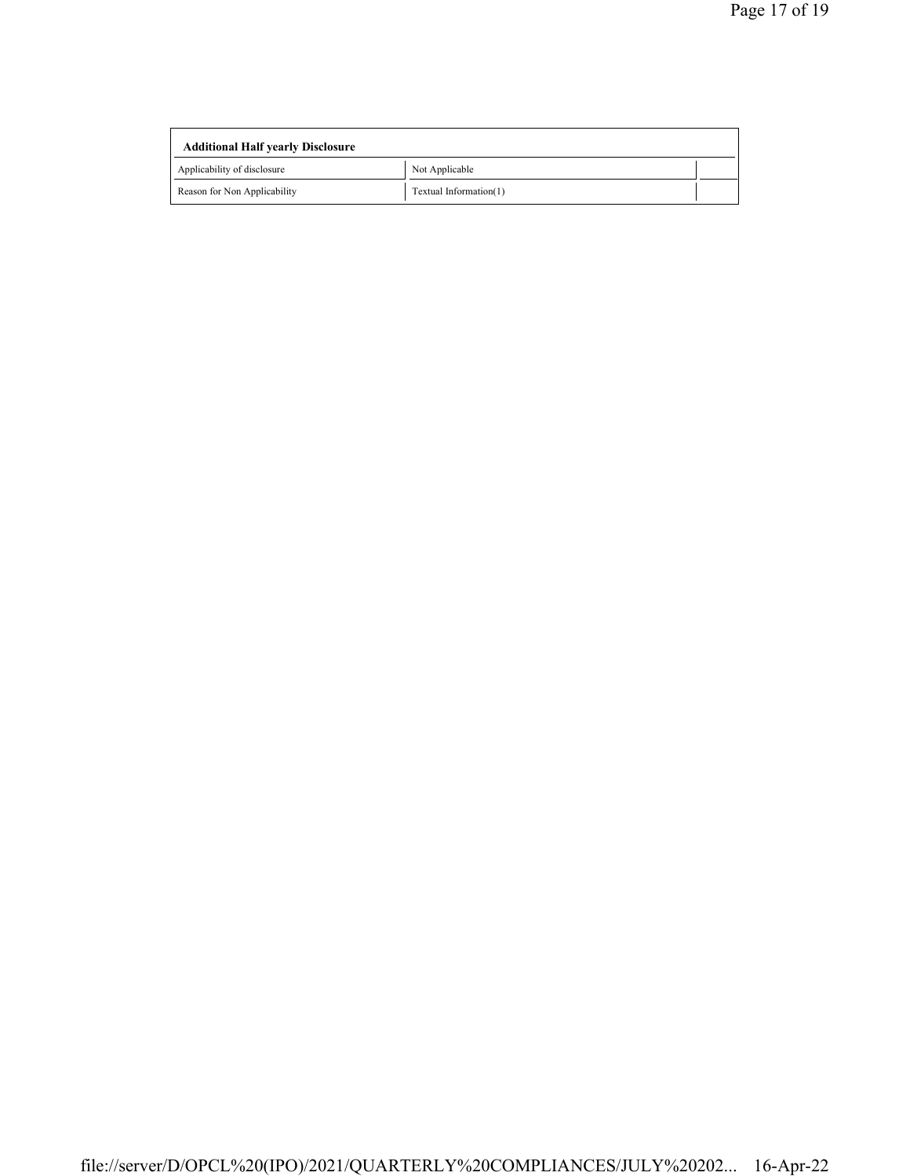| <b>Additional Half yearly Disclosure</b> |                        |  |
|------------------------------------------|------------------------|--|
| Applicability of disclosure              | Not Applicable         |  |
| Reason for Non Applicability             | Textual Information(1) |  |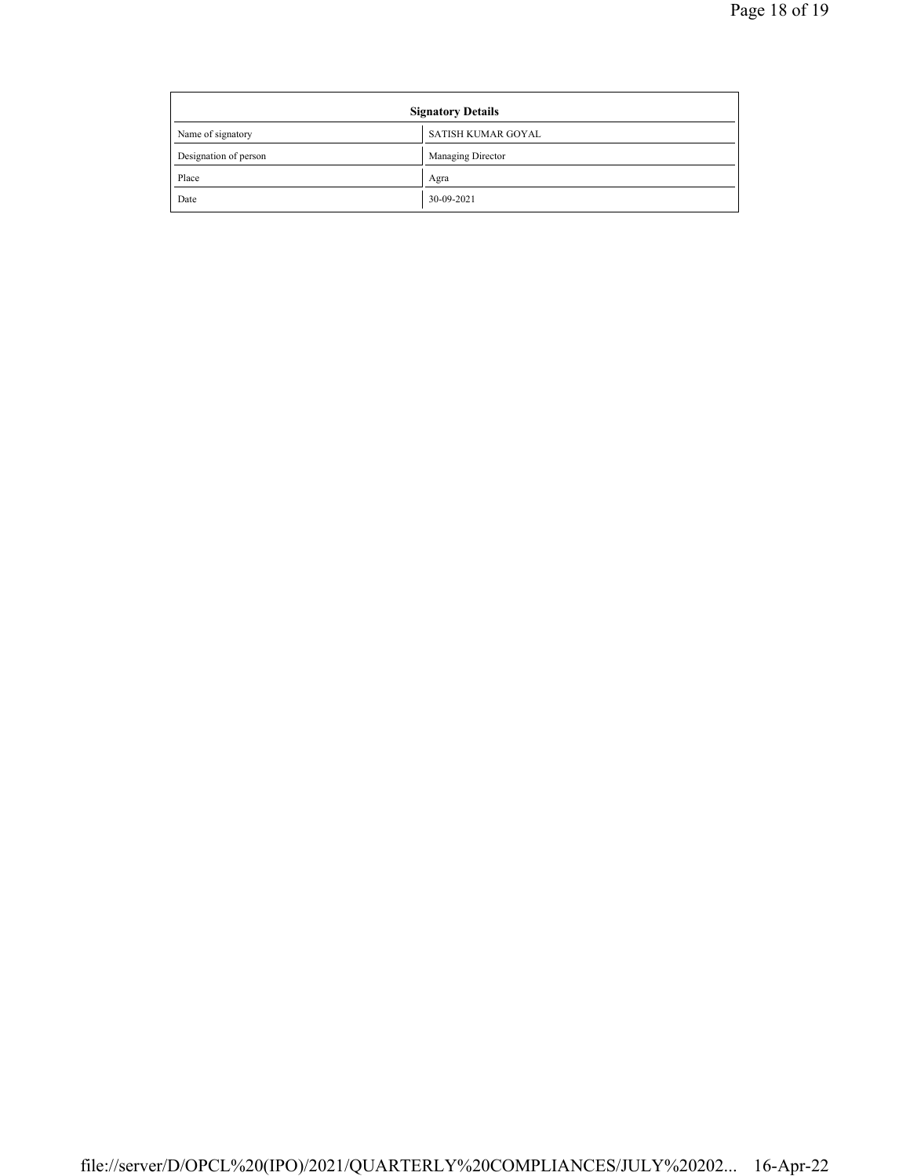| <b>Signatory Details</b> |                    |
|--------------------------|--------------------|
| Name of signatory        | SATISH KUMAR GOYAL |
| Designation of person    | Managing Director  |
| Place                    | Agra               |
| Date                     | 30-09-2021         |